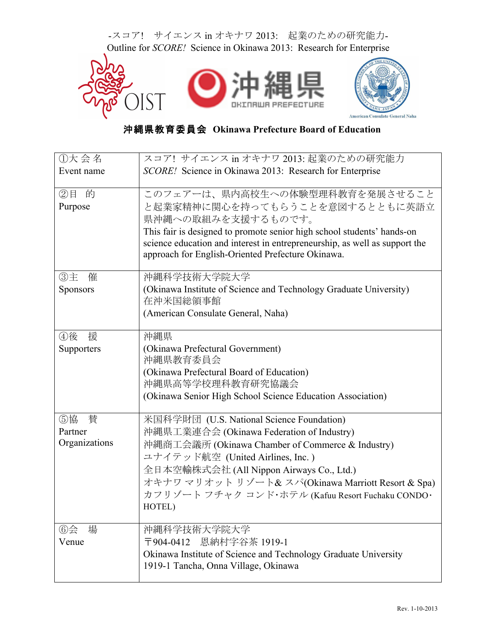

## 沖縄県教育委員会 **Okinawa Prefecture Board of Education**

| ①大会名          | スコア! サイエンス in オキナワ 2013: 起業のための研究能力                                                                                                                  |  |  |  |
|---------------|------------------------------------------------------------------------------------------------------------------------------------------------------|--|--|--|
| Event name    | SCORE! Science in Okinawa 2013: Research for Enterprise                                                                                              |  |  |  |
|               |                                                                                                                                                      |  |  |  |
| ②目 的          | このフェアーは、県内高校生への体験型理科教育を発展させること                                                                                                                       |  |  |  |
| Purpose       | と起業家精神に関心を持ってもらうことを意図するとともに英語立                                                                                                                       |  |  |  |
|               | 県沖縄への取組みを支援するものです。                                                                                                                                   |  |  |  |
|               | This fair is designed to promote senior high school students' hands-on<br>science education and interest in entrepreneurship, as well as support the |  |  |  |
|               | approach for English-Oriented Prefecture Okinawa.                                                                                                    |  |  |  |
|               |                                                                                                                                                      |  |  |  |
| ③主<br>催       | 沖縄科学技術大学院大学                                                                                                                                          |  |  |  |
| Sponsors      | (Okinawa Institute of Science and Technology Graduate University)                                                                                    |  |  |  |
|               | 在沖米国総領事館                                                                                                                                             |  |  |  |
|               | (American Consulate General, Naha)                                                                                                                   |  |  |  |
| ④後<br>援       | 沖縄県                                                                                                                                                  |  |  |  |
| Supporters    | (Okinawa Prefectural Government)                                                                                                                     |  |  |  |
|               | 沖縄県教育委員会                                                                                                                                             |  |  |  |
|               | (Okinawa Prefectural Board of Education)                                                                                                             |  |  |  |
|               | 沖縄県高等学校理科教育研究協議会                                                                                                                                     |  |  |  |
|               | (Okinawa Senior High School Science Education Association)                                                                                           |  |  |  |
|               |                                                                                                                                                      |  |  |  |
| ⑤協<br>替       | 米国科学財団 (U.S. National Science Foundation)                                                                                                            |  |  |  |
| Partner       | 沖縄県工業連合会 (Okinawa Federation of Industry)                                                                                                            |  |  |  |
| Organizations | 沖縄商工会議所 (Okinawa Chamber of Commerce & Industry)                                                                                                     |  |  |  |
|               | ユナイテッド航空 (United Airlines, Inc.)                                                                                                                     |  |  |  |
|               | 全日本空輸株式会社 (All Nippon Airways Co., Ltd.)                                                                                                             |  |  |  |
|               | オキナワ マリオット リゾート& スパ(Okinawa Marriott Resort & Spa)                                                                                                   |  |  |  |
|               | カフリゾート フチャク コンド・ホテル (Kafuu Resort Fuchaku CONDO·<br>HOTEL)                                                                                           |  |  |  |
|               |                                                                                                                                                      |  |  |  |
| 場<br>$6$ 会    | 沖縄科学技術大学院大学                                                                                                                                          |  |  |  |
| Venue         | 〒904-0412 恩納村字谷茶 1919-1                                                                                                                              |  |  |  |
|               | Okinawa Institute of Science and Technology Graduate University                                                                                      |  |  |  |
|               | 1919-1 Tancha, Onna Village, Okinawa                                                                                                                 |  |  |  |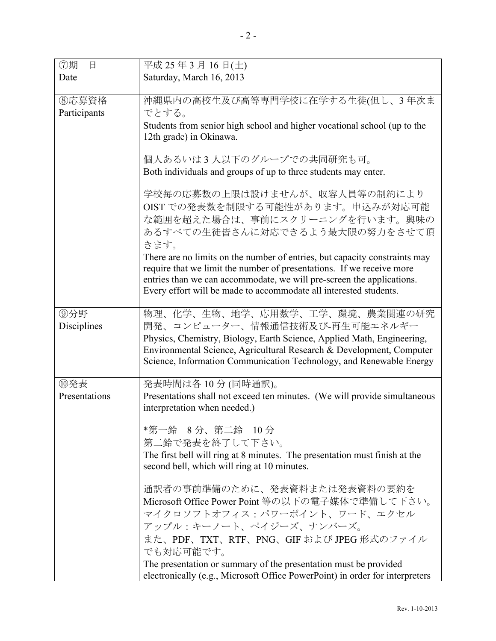| ⑦期<br>日               | 平成 25年3月16日(土)                                                                                                                                                                                                                                                                                                                                                                                                                                     |  |  |
|-----------------------|----------------------------------------------------------------------------------------------------------------------------------------------------------------------------------------------------------------------------------------------------------------------------------------------------------------------------------------------------------------------------------------------------------------------------------------------------|--|--|
| Date                  | Saturday, March 16, 2013                                                                                                                                                                                                                                                                                                                                                                                                                           |  |  |
|                       |                                                                                                                                                                                                                                                                                                                                                                                                                                                    |  |  |
| ⑧応募資格<br>Participants | 沖縄県内の高校生及び高等専門学校に在学する生徒(但し、3年次ま<br>でとする。<br>Students from senior high school and higher vocational school (up to the<br>12th grade) in Okinawa.                                                                                                                                                                                                                                                                                                    |  |  |
|                       | 個人あるいは3人以下のグループでの共同研究も可。<br>Both individuals and groups of up to three students may enter.                                                                                                                                                                                                                                                                                                                                                         |  |  |
|                       | 学校毎の応募数の上限は設けませんが、収容人員等の制約により<br>OIST での発表数を制限する可能性があります。申込みが対応可能<br>な範囲を超えた場合は、事前にスクリーニングを行います。興味の<br>あるすべての生徒皆さんに対応できるよう最大限の努力をさせて頂<br>きます。<br>There are no limits on the number of entries, but capacity constraints may<br>require that we limit the number of presentations. If we receive more<br>entries than we can accommodate, we will pre-screen the applications.<br>Every effort will be made to accommodate all interested students. |  |  |
|                       |                                                                                                                                                                                                                                                                                                                                                                                                                                                    |  |  |
| ⑨分野<br>Disciplines    | 物理、化学、生物、地学、応用数学、工学、環境、農業関連の研究<br>開発、コンピューター、情報通信技術及び-再生可能エネルギー<br>Physics, Chemistry, Biology, Earth Science, Applied Math, Engineering,<br>Environmental Science, Agricultural Research & Development, Computer<br>Science, Information Communication Technology, and Renewable Energy                                                                                                                                                           |  |  |
| ⑩発表<br>Presentations  | 発表時間は各10分(同時通訳)。<br>Presentations shall not exceed ten minutes. (We will provide simultaneous<br>interpretation when needed.)                                                                                                                                                                                                                                                                                                                      |  |  |
|                       | *第一鈴 8分、第二鈴 10分<br>第二鈴で発表を終了して下さい。<br>The first bell will ring at 8 minutes. The presentation must finish at the<br>second bell, which will ring at 10 minutes.<br>通訳者の事前準備のために、発表資料または発表資料の要約を<br>Microsoft Office Power Point 等の以下の電子媒体で準備して下さい。<br>マイクロソフトオフィス:パワーポイント、ワード、エクセル<br>アップル:キーノート、ペイジーズ、ナンバーズ。<br>また、PDF、TXT、RTF、PNG、GIF および JPEG 形式のファイル<br>でも対応可能です。                                                                              |  |  |
|                       | The presentation or summary of the presentation must be provided<br>electronically (e.g., Microsoft Office PowerPoint) in order for interpreters                                                                                                                                                                                                                                                                                                   |  |  |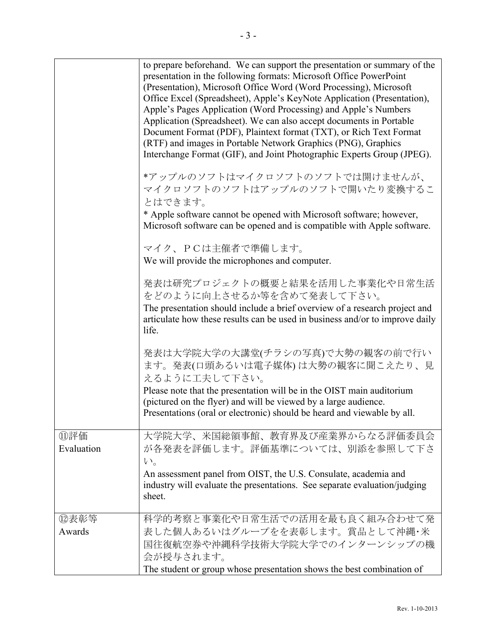|                   | to prepare beforehand. We can support the presentation or summary of the<br>presentation in the following formats: Microsoft Office PowerPoint<br>(Presentation), Microsoft Office Word (Word Processing), Microsoft<br>Office Excel (Spreadsheet), Apple's KeyNote Application (Presentation),<br>Apple's Pages Application (Word Processing) and Apple's Numbers<br>Application (Spreadsheet). We can also accept documents in Portable<br>Document Format (PDF), Plaintext format (TXT), or Rich Text Format<br>(RTF) and images in Portable Network Graphics (PNG), Graphics<br>Interchange Format (GIF), and Joint Photographic Experts Group (JPEG).<br>*アップルのソフトはマイクロソフトのソフトでは開けませんが、<br>マイクロソフトのソフトはアップルのソフトで開いたり変換するこ<br>とはできます。<br>* Apple software cannot be opened with Microsoft software; however,<br>Microsoft software can be opened and is compatible with Apple software.<br>マイク、PCは主催者で準備します。 |  |
|-------------------|------------------------------------------------------------------------------------------------------------------------------------------------------------------------------------------------------------------------------------------------------------------------------------------------------------------------------------------------------------------------------------------------------------------------------------------------------------------------------------------------------------------------------------------------------------------------------------------------------------------------------------------------------------------------------------------------------------------------------------------------------------------------------------------------------------------------------------------------------------------------------------------------------------------|--|
|                   | We will provide the microphones and computer.                                                                                                                                                                                                                                                                                                                                                                                                                                                                                                                                                                                                                                                                                                                                                                                                                                                                    |  |
|                   | 発表は研究プロジェクトの概要と結果を活用した事業化や日常生活<br>をどのように向上させるか等を含めて発表して下さい。<br>The presentation should include a brief overview of a research project and<br>articulate how these results can be used in business and/or to improve daily<br>life.                                                                                                                                                                                                                                                                                                                                                                                                                                                                                                                                                                                                                                                                               |  |
|                   | 発表は大学院大学の大講堂(チラシの写真)で大勢の観客の前で行い<br>ます。発表(口頭あるいは電子媒体)は大勢の観客に聞こえたり、見<br>えるように工夫して下さい。                                                                                                                                                                                                                                                                                                                                                                                                                                                                                                                                                                                                                                                                                                                                                                                                                              |  |
|                   | Please note that the presentation will be in the OIST main auditorium<br>(pictured on the flyer) and will be viewed by a large audience.<br>Presentations (oral or electronic) should be heard and viewable by all.                                                                                                                                                                                                                                                                                                                                                                                                                                                                                                                                                                                                                                                                                              |  |
| ⑪評価<br>Evaluation | 大学院大学、米国総領事館、教育界及び産業界からなる評価委員会<br>が各発表を評価します。評価基準については、別添を参照して下さ<br>$V_{0}$                                                                                                                                                                                                                                                                                                                                                                                                                                                                                                                                                                                                                                                                                                                                                                                                                                      |  |
|                   | An assessment panel from OIST, the U.S. Consulate, academia and<br>industry will evaluate the presentations. See separate evaluation/judging<br>sheet.                                                                                                                                                                                                                                                                                                                                                                                                                                                                                                                                                                                                                                                                                                                                                           |  |
| ⑫表彰等              | 科学的考察と事業化や日常生活での活用を最も良く組み合わせて発                                                                                                                                                                                                                                                                                                                                                                                                                                                                                                                                                                                                                                                                                                                                                                                                                                                                                   |  |
| Awards            | 表した個人あるいはグループをを表彰します。賞品として沖縄・米<br>国往復航空券や沖縄科学技術大学院大学でのインターンシップの機<br>会が授与されます。                                                                                                                                                                                                                                                                                                                                                                                                                                                                                                                                                                                                                                                                                                                                                                                                                                    |  |
|                   | The student or group whose presentation shows the best combination of                                                                                                                                                                                                                                                                                                                                                                                                                                                                                                                                                                                                                                                                                                                                                                                                                                            |  |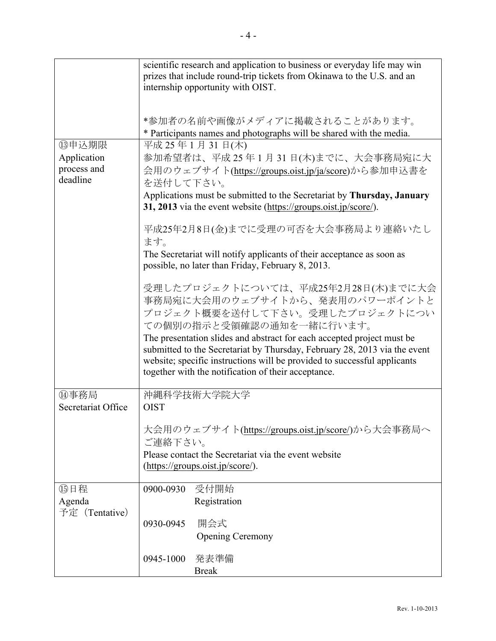|                                                   | scientific research and application to business or everyday life may win<br>prizes that include round-trip tickets from Okinawa to the U.S. and an<br>internship opportunity with OIST.                                                                                                                                                                                                                                      |  |  |
|---------------------------------------------------|------------------------------------------------------------------------------------------------------------------------------------------------------------------------------------------------------------------------------------------------------------------------------------------------------------------------------------------------------------------------------------------------------------------------------|--|--|
|                                                   | *参加者の名前や画像がメディアに掲載されることがあります。<br>* Participants names and photographs will be shared with the media.                                                                                                                                                                                                                                                                                                                         |  |  |
| (3)申込期限<br>Application<br>process and<br>deadline | 平成 25年1月 31日(木)<br>参加希望者は、平成25年1月31日(木)までに、大会事務局宛に大<br>会用のウェブサイト(https://groups.oist.jp/ja/score)から参加申込書を<br>を送付して下さい。<br>Applications must be submitted to the Secretariat by Thursday, January<br>31, 2013 via the event website (https://groups.oist.jp/score/).                                                                                                                                                          |  |  |
|                                                   | 平成25年2月8日(金)までに受理の可否を大会事務局より連絡いたし<br>ます。<br>The Secretariat will notify applicants of their acceptance as soon as<br>possible, no later than Friday, February 8, 2013.                                                                                                                                                                                                                                                       |  |  |
|                                                   | 受理したプロジェクトについては、平成25年2月28日(木)までに大会<br>事務局宛に大会用のウェブサイトから、発表用のパワーポイントと<br>プロジェクト概要を送付して下さい。受理したプロジェクトについ<br>ての個別の指示と受領確認の通知を一緒に行います。<br>The presentation slides and abstract for each accepted project must be<br>submitted to the Secretariat by Thursday, February 28, 2013 via the event<br>website; specific instructions will be provided to successful applicants<br>together with the notification of their acceptance. |  |  |
| ⑭事務局<br>Secretariat Office                        | 沖縄科学技術大学院大学<br><b>OIST</b>                                                                                                                                                                                                                                                                                                                                                                                                   |  |  |
|                                                   | 大会用のウェブサイト(https://groups.oist.jp/score/)から大会事務局へ<br>ご連絡下さい。<br>Please contact the Secretariat via the event website<br>(https://groups.oist.jp/score/).                                                                                                                                                                                                                                                                     |  |  |
| 15日程<br>Agenda<br>予定 (Tentative)                  | 0900-0930 受付開始<br>Registration                                                                                                                                                                                                                                                                                                                                                                                               |  |  |
|                                                   | 開会式<br>0930-0945<br><b>Opening Ceremony</b>                                                                                                                                                                                                                                                                                                                                                                                  |  |  |
|                                                   | 発表準備<br>0945-1000<br><b>Break</b>                                                                                                                                                                                                                                                                                                                                                                                            |  |  |